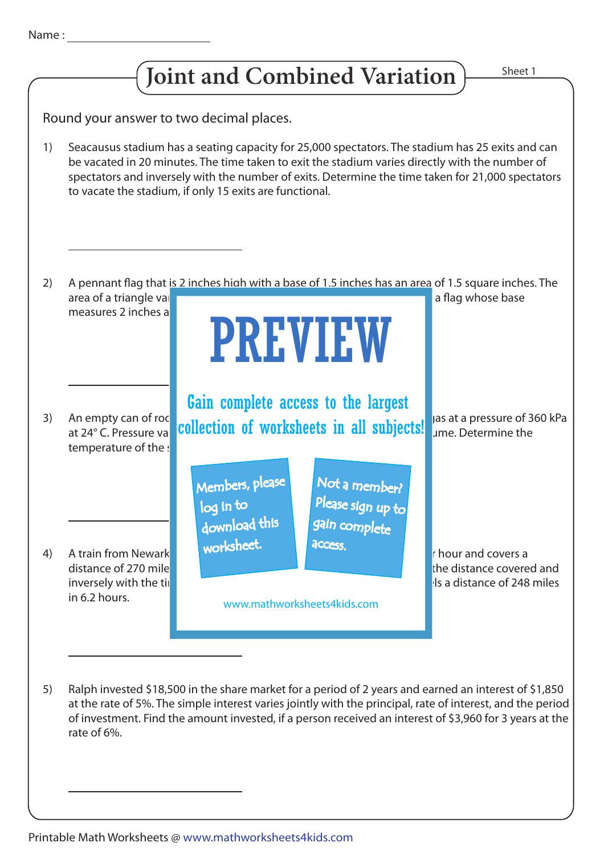



An empty can of roce **free allocations of considering that has all** emption to **freshend** as a pressure of 360 kPa at 24° C. Pressure va**ries direction of worksheets in all subjects!** Jas at a pressure of 36 temperature of the s A train from Newark to Buyance the Burges at a constant speed of 30 miles per hour and covers a distance of 270 miles in 9 hours. The speed of a train variety with the speed of a train variety with the distance covered and inversely with the time taken. Determine the speed of the speed of the train, if it is a distance of 248 miles in 6.2 hours. Ralph invested \$18,500 in the share market for a period of 2 years and earned an interest of \$1,850 at the rate of 5%. The simple interest varies jointly with the principal, rate of interest, and the period of investment. Find the amount invested, if a person received an interest of \$3,960 for 3 years at the rate of 6%. A pennant flag that is 2 inches high with a base of 1.5 inches has an area of 1.5 square inches. The area of a triangle valid with the base and height. Find the area of a flag whose base and height. Finally a flag whose base measures 2 inches a Seacausus stadium has a seating capacity for 25,000 spectators. The stadium has 25 exits and can be vacated in 20 minutes. The time taken to exit the stadium varies directly with the number of spectators and inversely with the number of exits. Determine the time taken for 21,000 spectators to vacate the stadium, if only 15 exits are functional. 2) 3) 4) 5) 1) Round your answer to two decimal places. PREVIEW www.mathworksheets4kids.com Members, please download this worksheet. log in to Not a member? gain complete Please sign up to **access** Gain complete access to the largest